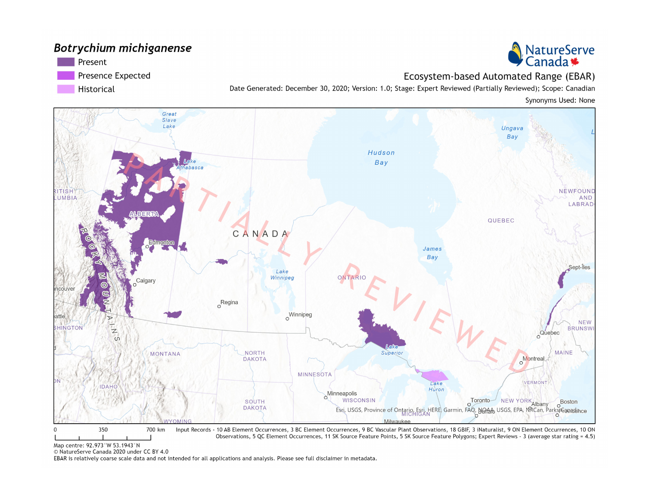#### Botrychium michiganense

Present

Presence Expected

Historical

Ecosystem-based Automated Range (EBAR) Date Generated: December 30, 2020; Version: 1.0; Stage: Expert Reviewed (Partially Reviewed); Scope: Canadian

Synonyms Used: None



Map centre: 92.973°W 53.1943°N

© NatureServe Canada 2020 under CC BY 4.0

EBAR is relatively coarse scale data and not intended for all applications and analysis. Please see full disclaimer in metadata.

NatureServe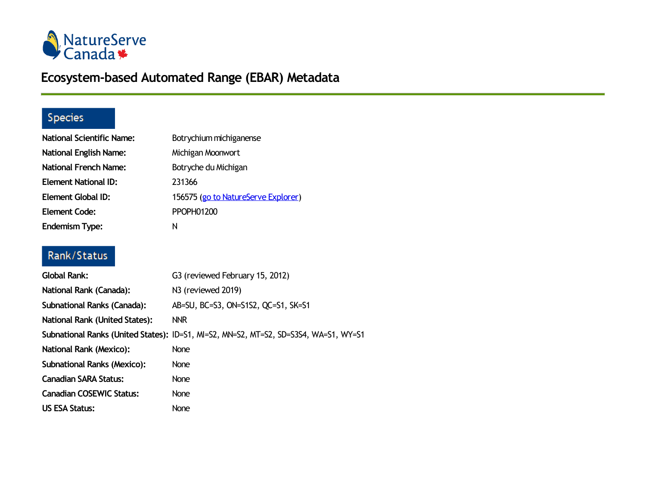

# **Ecosystem-based Automated Range (EBAR) Metadata**

## Species

| <b>National Scientific Name:</b> | Botrychium michiganense             |
|----------------------------------|-------------------------------------|
| <b>National English Name:</b>    | Michigan Moonwort                   |
| <b>National French Name:</b>     | Botryche du Michigan                |
| <b>Element National ID:</b>      | 231366                              |
| <b>Element Global ID:</b>        | 156575 (go to NatureServe Explorer) |
| <b>Element Code:</b>             | <b>PPOPH01200</b>                   |
| <b>Endemism Type:</b>            | N                                   |

### Rank/Status

| Global Rank:                       | G3 (reviewed February 15, 2012)                                                      |
|------------------------------------|--------------------------------------------------------------------------------------|
| National Rank (Canada):            | N3 (reviewed 2019)                                                                   |
| Subnational Ranks (Canada):        | AB=SU, BC=S3, ON=S1S2, QC=S1, SK=S1                                                  |
| National Rank (United States):     | <b>NNR</b>                                                                           |
|                                    | Subnational Ranks (United States): ID=S1, MI=S2, MN=S2, MT=S2, SD=S3S4, WA=S1, WY=S1 |
| <b>National Rank (Mexico):</b>     | None                                                                                 |
| <b>Subnational Ranks (Mexico):</b> | None                                                                                 |
| <b>Canadian SARA Status:</b>       | <b>None</b>                                                                          |
| <b>Canadian COSEWIC Status:</b>    | None                                                                                 |
| <b>US ESA Status:</b>              | None                                                                                 |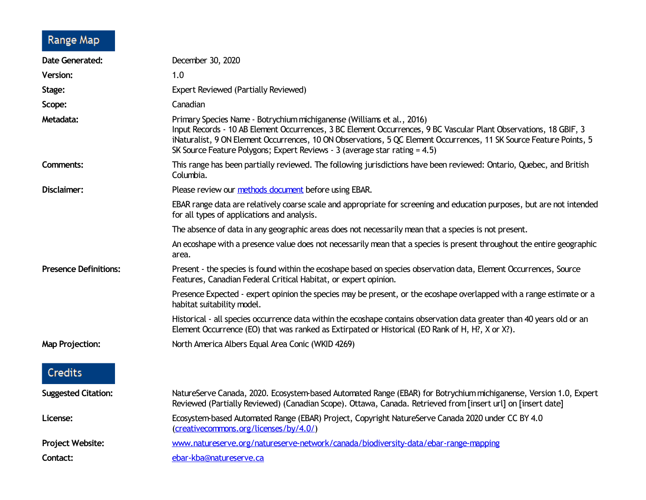# Range Map

| <b>Date Generated:</b>       | December 30, 2020                                                                                                                                                                                                                                                                                                                                                                                |
|------------------------------|--------------------------------------------------------------------------------------------------------------------------------------------------------------------------------------------------------------------------------------------------------------------------------------------------------------------------------------------------------------------------------------------------|
| <b>Version:</b>              | 1.0                                                                                                                                                                                                                                                                                                                                                                                              |
| Stage:                       | <b>Expert Reviewed (Partially Reviewed)</b>                                                                                                                                                                                                                                                                                                                                                      |
| Scope:                       | Canadian                                                                                                                                                                                                                                                                                                                                                                                         |
| Metadata:                    | Primary Species Name - Botrychium michiganense (Williams et al., 2016)<br>Input Records - 10 AB Element Occurrences, 3 BC Element Occurrences, 9 BC Vascular Plant Observations, 18 GBIF, 3<br>iNaturalist, 9 ON Element Occurrences, 10 ON Observations, 5 QC Element Occurrences, 11 SK Source Feature Points, 5<br>SK Source Feature Polygons; Expert Reviews - 3 (average star rating = 4.5) |
| Comments:                    | This range has been partially reviewed. The following jurisdictions have been reviewed: Ontario, Quebec, and British<br>Columbia.                                                                                                                                                                                                                                                                |
| Disclaimer:                  | Please review our methods document before using EBAR.                                                                                                                                                                                                                                                                                                                                            |
|                              | EBAR range data are relatively coarse scale and appropriate for screening and education purposes, but are not intended<br>for all types of applications and analysis.                                                                                                                                                                                                                            |
|                              | The absence of data in any geographic areas does not necessarily mean that a species is not present.                                                                                                                                                                                                                                                                                             |
|                              | An ecoshape with a presence value does not necessarily mean that a species is present throughout the entire geographic<br>area.                                                                                                                                                                                                                                                                  |
| <b>Presence Definitions:</b> | Present - the species is found within the ecoshape based on species observation data, Element Occurrences, Source<br>Features, Canadian Federal Critical Habitat, or expert opinion.                                                                                                                                                                                                             |
|                              | Presence Expected - expert opinion the species may be present, or the ecoshape overlapped with a range estimate or a<br>habitat suitability model.                                                                                                                                                                                                                                               |
|                              | Historical - all species occurrence data within the ecoshape contains observation data greater than 40 years old or an<br>Element Occurrence (EO) that was ranked as Extirpated or Historical (EO Rank of H, H?, X or X?).                                                                                                                                                                       |
| <b>Map Projection:</b>       | North America Albers Equal Area Conic (WKID 4269)                                                                                                                                                                                                                                                                                                                                                |
| <b>Credits</b>               |                                                                                                                                                                                                                                                                                                                                                                                                  |
| <b>Suggested Citation:</b>   | NatureServe Canada, 2020. Ecosystem-based Automated Range (EBAR) for Botrychium michiganense, Version 1.0, Expert<br>Reviewed (Partially Reviewed) (Canadian Scope). Ottawa, Canada. Retrieved from [insert url] on [insert date]                                                                                                                                                                |
| License:                     | Ecosystem-based Automated Range (EBAR) Project, Copyright NatureServe Canada 2020 under CC BY 4.0<br>(creativecommons.org/licenses/by/4.0/)                                                                                                                                                                                                                                                      |
| <b>Project Website:</b>      | www.natureserve.org/natureserve-network/canada/biodiversity-data/ebar-range-mapping                                                                                                                                                                                                                                                                                                              |
| Contact:                     | ebar-kba@natureserve.ca                                                                                                                                                                                                                                                                                                                                                                          |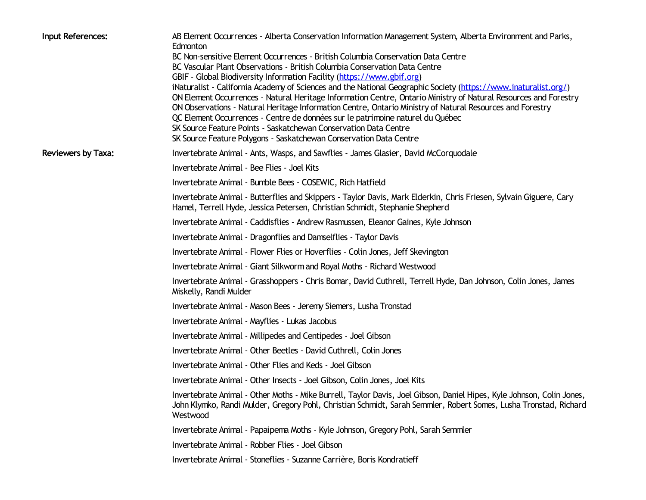| Input References:         | AB Element Occurrences - Alberta Conservation Information Management System, Alberta Environment and Parks,<br>Edmonton                                                                                                                                                                                                                                                                                                                                                                                |
|---------------------------|--------------------------------------------------------------------------------------------------------------------------------------------------------------------------------------------------------------------------------------------------------------------------------------------------------------------------------------------------------------------------------------------------------------------------------------------------------------------------------------------------------|
|                           | BC Non-sensitive Element Occurrences - British Columbia Conservation Data Centre                                                                                                                                                                                                                                                                                                                                                                                                                       |
|                           | BC Vascular Plant Observations - British Columbia Conservation Data Centre<br>GBIF - Global Biodiversity Information Facility (https://www.gbif.org)                                                                                                                                                                                                                                                                                                                                                   |
|                           | iNaturalist - California Academy of Sciences and the National Geographic Society (https://www.inaturalist.org/)<br>ON Element Occurrences - Natural Heritage Information Centre, Ontario Ministry of Natural Resources and Forestry<br>ON Observations - Natural Heritage Information Centre, Ontario Ministry of Natural Resources and Forestry<br>QC Element Occurrences - Centre de données sur le patrimoine naturel du Québec<br>SK Source Feature Points - Saskatchewan Conservation Data Centre |
|                           | SK Source Feature Polygons - Saskatchewan Conservation Data Centre                                                                                                                                                                                                                                                                                                                                                                                                                                     |
| <b>Reviewers by Taxa:</b> | Invertebrate Animal - Ants, Wasps, and Sawflies - James Glasier, David McCorquodale                                                                                                                                                                                                                                                                                                                                                                                                                    |
|                           | Invertebrate Animal - Bee Flies - Joel Kits                                                                                                                                                                                                                                                                                                                                                                                                                                                            |
|                           | Invertebrate Animal - Bumble Bees - COSEWIC, Rich Hatfield                                                                                                                                                                                                                                                                                                                                                                                                                                             |
|                           | Invertebrate Animal - Butterflies and Skippers - Taylor Davis, Mark Elderkin, Chris Friesen, Sylvain Giguere, Cary<br>Hamel, Terrell Hyde, Jessica Petersen, Christian Schmidt, Stephanie Shepherd                                                                                                                                                                                                                                                                                                     |
|                           | Invertebrate Animal - Caddisflies - Andrew Rasmussen, Eleanor Gaines, Kyle Johnson                                                                                                                                                                                                                                                                                                                                                                                                                     |
|                           | Invertebrate Animal - Dragonflies and Damselflies - Taylor Davis                                                                                                                                                                                                                                                                                                                                                                                                                                       |
|                           | Invertebrate Animal - Flower Flies or Hoverflies - Colin Jones, Jeff Skevington                                                                                                                                                                                                                                                                                                                                                                                                                        |
|                           | Invertebrate Animal - Giant Silkworm and Royal Moths - Richard Westwood                                                                                                                                                                                                                                                                                                                                                                                                                                |
|                           | Invertebrate Animal - Grasshoppers - Chris Bomar, David Cuthrell, Terrell Hyde, Dan Johnson, Colin Jones, James<br>Miskelly, Randi Mulder                                                                                                                                                                                                                                                                                                                                                              |
|                           | Invertebrate Animal - Mason Bees - Jeremy Siemers, Lusha Tronstad                                                                                                                                                                                                                                                                                                                                                                                                                                      |
|                           | Invertebrate Animal - Mayflies - Lukas Jacobus                                                                                                                                                                                                                                                                                                                                                                                                                                                         |
|                           | Invertebrate Animal - Millipedes and Centipedes - Joel Gibson                                                                                                                                                                                                                                                                                                                                                                                                                                          |
|                           | Invertebrate Animal - Other Beetles - David Cuthrell, Colin Jones                                                                                                                                                                                                                                                                                                                                                                                                                                      |
|                           | Invertebrate Animal - Other Flies and Keds - Joel Gibson                                                                                                                                                                                                                                                                                                                                                                                                                                               |
|                           | Invertebrate Animal - Other Insects - Joel Gibson, Colin Jones, Joel Kits                                                                                                                                                                                                                                                                                                                                                                                                                              |
|                           | Invertebrate Animal - Other Moths - Mike Burrell, Taylor Davis, Joel Gibson, Daniel Hipes, Kyle Johnson, Colin Jones,<br>John Klymko, Randi Mulder, Gregory Pohl, Christian Schmidt, Sarah Semmler, Robert Somes, Lusha Tronstad, Richard<br>Westwood                                                                                                                                                                                                                                                  |
|                           | Invertebrate Animal - Papaipema Moths - Kyle Johnson, Gregory Pohl, Sarah Semmler                                                                                                                                                                                                                                                                                                                                                                                                                      |
|                           | Invertebrate Animal - Robber Flies - Joel Gibson                                                                                                                                                                                                                                                                                                                                                                                                                                                       |
|                           | Invertebrate Animal - Stoneflies - Suzanne Carrière, Boris Kondratieff                                                                                                                                                                                                                                                                                                                                                                                                                                 |
|                           |                                                                                                                                                                                                                                                                                                                                                                                                                                                                                                        |